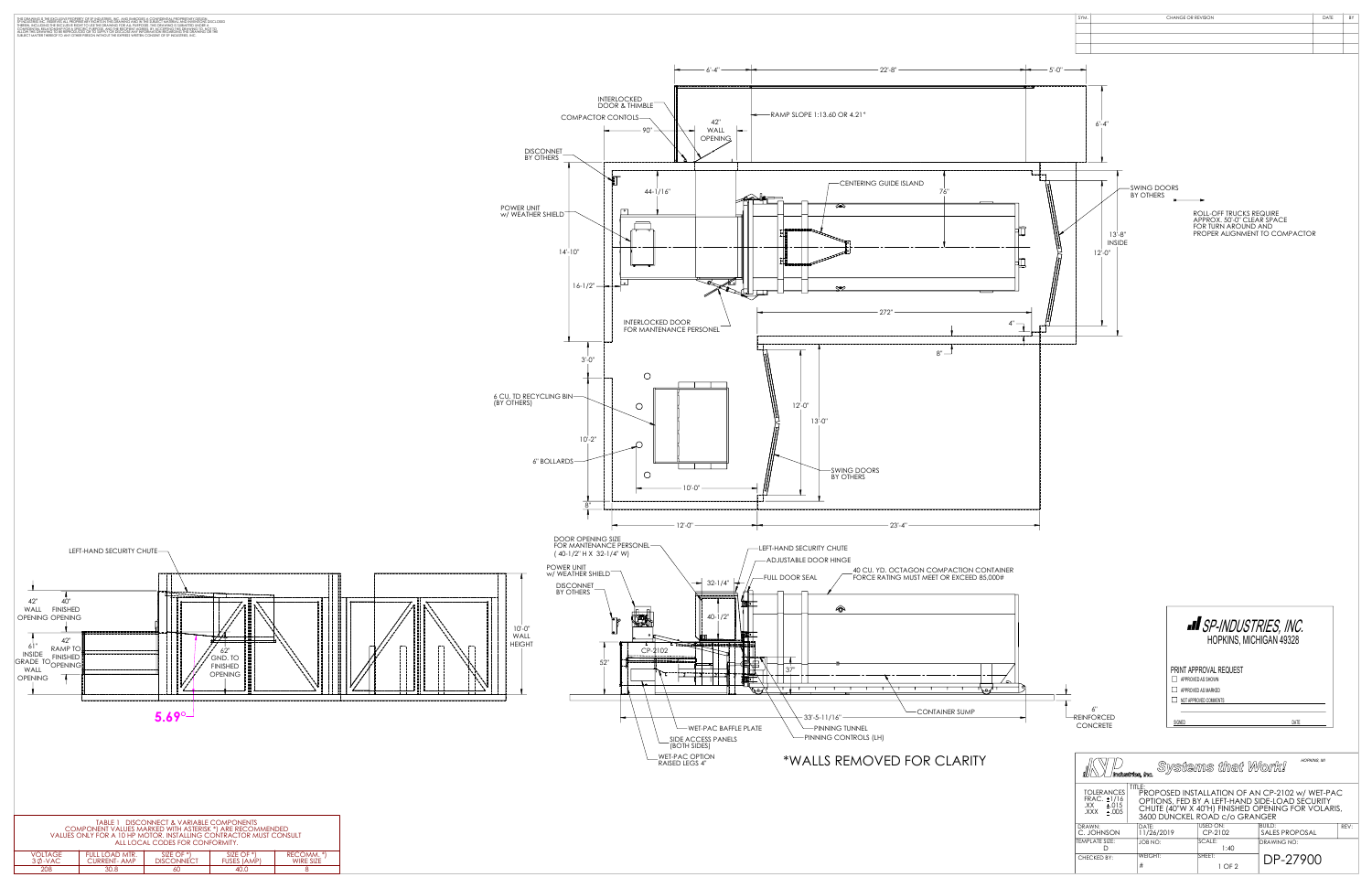